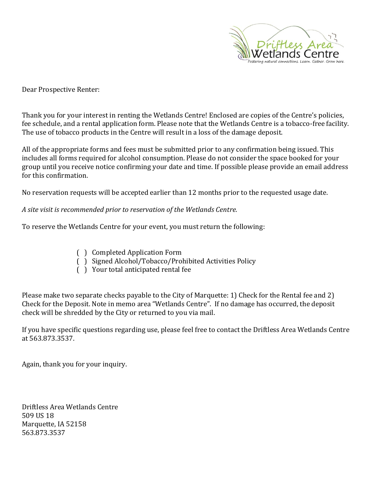

Dear Prospective Renter:

Thank you for your interest in renting the Wetlands Centre! Enclosed are copies of the Centre's policies, fee schedule, and a rental application form. Please note that the Wetlands Centre is a tobacco-free facility. The use of tobacco products in the Centre will result in a loss of the damage deposit.

All of the appropriate forms and fees must be submitted prior to any confirmation being issued. This includes all forms required for alcohol consumption. Please do not consider the space booked for your group until you receive notice confirming your date and time. If possible please provide an email address for this confirmation.

No reservation requests will be accepted earlier than 12 months prior to the requested usage date.

*A site visit is recommended prior to reservation of the Wetlands Centre.*

To reserve the Wetlands Centre for your event, you must return the following:

- ( ) Completed Application Form
- ( ) Signed Alcohol/Tobacco/Prohibited Activities Policy
- ( ) Your total anticipated rental fee

Please make two separate checks payable to the City of Marquette: 1) Check for the Rental fee and 2) Check for the Deposit. Note in memo area "Wetlands Centre". If no damage has occurred, the deposit check will be shredded by the City or returned to you via mail.

If you have specific questions regarding use, please feel free to contact the Driftless Area Wetlands Centre at 563.873.3537.

Again, thank you for your inquiry.

Driftless Area Wetlands Centre 509 US 18 Marquette, IA 52158 563.873.3537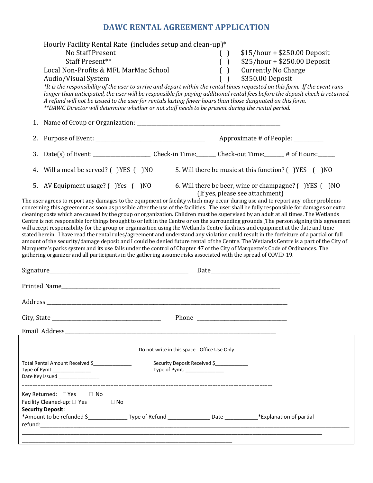# **DAWC RENTAL AGREEMENT APPLICATION**

|    | Hourly Facility Rental Rate (includes setup and clean-up)*<br>No Staff Present<br>Staff Present**<br>Local Non-Profits & MFL MarMac School<br>Audio/Visual System<br>*It is the responsibility of the user to arrive and depart within the rental times requested on this form. If the event runs<br>longer than anticipated, the user will be responsible for paying additional rental fees before the deposit check is returned.<br>A refund will not be issued to the user for rentals lasting fewer hours than those designated on this form.<br>**DAWC Director will determine whether or not staff needs to be present during the rental period.                                                                                                                                                                                                                                                                                                                                                                                                                                                                                                                                                                                                                   |                                                                | $\left( \quad \right)$<br>$\begin{pmatrix} \end{pmatrix}$<br>$\begin{pmatrix} 1 \end{pmatrix}$ | <b>Currently No Charge</b><br>\$350.00 Deposit | $$15/hour + $250.00$ Deposit<br>$$25/hour + $250.00$ Deposit |  |
|----|--------------------------------------------------------------------------------------------------------------------------------------------------------------------------------------------------------------------------------------------------------------------------------------------------------------------------------------------------------------------------------------------------------------------------------------------------------------------------------------------------------------------------------------------------------------------------------------------------------------------------------------------------------------------------------------------------------------------------------------------------------------------------------------------------------------------------------------------------------------------------------------------------------------------------------------------------------------------------------------------------------------------------------------------------------------------------------------------------------------------------------------------------------------------------------------------------------------------------------------------------------------------------|----------------------------------------------------------------|------------------------------------------------------------------------------------------------|------------------------------------------------|--------------------------------------------------------------|--|
| 1. |                                                                                                                                                                                                                                                                                                                                                                                                                                                                                                                                                                                                                                                                                                                                                                                                                                                                                                                                                                                                                                                                                                                                                                                                                                                                          |                                                                |                                                                                                |                                                |                                                              |  |
| 2. |                                                                                                                                                                                                                                                                                                                                                                                                                                                                                                                                                                                                                                                                                                                                                                                                                                                                                                                                                                                                                                                                                                                                                                                                                                                                          |                                                                |                                                                                                |                                                | Approximate # of People: ________                            |  |
| 3. |                                                                                                                                                                                                                                                                                                                                                                                                                                                                                                                                                                                                                                                                                                                                                                                                                                                                                                                                                                                                                                                                                                                                                                                                                                                                          |                                                                |                                                                                                |                                                |                                                              |  |
| 4. | Will a meal be served? () YES () NO                                                                                                                                                                                                                                                                                                                                                                                                                                                                                                                                                                                                                                                                                                                                                                                                                                                                                                                                                                                                                                                                                                                                                                                                                                      |                                                                |                                                                                                |                                                | 5. Will there be music at this function? () YES () NO        |  |
|    | 5. AV Equipment usage? () Yes () NO<br>The user agrees to report any damages to the equipment or facility which may occur during use and to report any other problems<br>concerning this agreement as soon as possible after the use of the facilities. The user shall be fully responsible for damages or extra<br>cleaning costs which are caused by the group or organization. Children must be supervised by an adult at all times. The Wetlands<br>Centre is not responsible for things brought to or left in the Centre or on the surrounding grounds. The person signing this agreement<br>will accept responsibility for the group or organization using the Wetlands Centre facilities and equipment at the date and time<br>stated herein. I have read the rental rules/agreement and understand any violation could result in the forfeiture of a partial or full<br>amount of the security/damage deposit and I could be denied future rental of the Centre. The Wetlands Centre is a part of the City of<br>Marquette's parks system and its use falls under the control of Chapter 47 of the City of Marquette's Code of Ordinances. The<br>gathering organizer and all participants in the gathering assume risks associated with the spread of COVID-19. |                                                                |                                                                                                | (If yes, please see attachment)                | 6. Will there be beer, wine or champagne? () YES () NO       |  |
|    | Email Address                                                                                                                                                                                                                                                                                                                                                                                                                                                                                                                                                                                                                                                                                                                                                                                                                                                                                                                                                                                                                                                                                                                                                                                                                                                            |                                                                |                                                                                                |                                                |                                                              |  |
|    |                                                                                                                                                                                                                                                                                                                                                                                                                                                                                                                                                                                                                                                                                                                                                                                                                                                                                                                                                                                                                                                                                                                                                                                                                                                                          | Do not write in this space - Office Use Only                   |                                                                                                |                                                |                                                              |  |
|    | Total Rental Amount Received \$<br>Type of Pymt ________________<br>Date Key Issued _______________                                                                                                                                                                                                                                                                                                                                                                                                                                                                                                                                                                                                                                                                                                                                                                                                                                                                                                                                                                                                                                                                                                                                                                      | Security Deposit Received \$<br>Type of Pymt. ________________ |                                                                                                |                                                |                                                              |  |
|    | Key Returned: □ Yes<br>$\Box$ No<br>Facility Cleaned-up: □ Yes<br>$\Box$ No<br><b>Security Deposit:</b><br>*Amount to be refunded \$__________________Type of Refund ______________________Date ____________*Explanation of partial                                                                                                                                                                                                                                                                                                                                                                                                                                                                                                                                                                                                                                                                                                                                                                                                                                                                                                                                                                                                                                      |                                                                |                                                                                                |                                                |                                                              |  |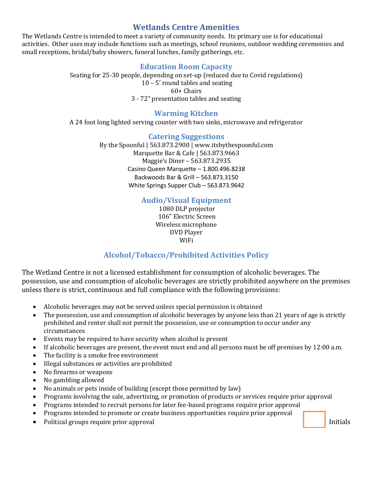## **Wetlands Centre Amenities**

The Wetlands Centre is intended to meet a variety of community needs. Its primary use is for educational activities. Other uses may include functions such as meetings, school reunions, outdoor wedding ceremonies and small receptions, bridal/baby showers, funeral lunches, family gatherings, etc.

### **Education Room Capacity**

Seating for 25-30 people, depending on set-up (reduced due to Covid regulations) 10 – 5' round tables and seating 60+ Chairs 3 - 72" presentation tables and seating

### **Warming Kitchen**

A 24 foot long lighted serving counter with two sinks, microwave and refrigerator

### **Catering Suggestions**

By the Spoonful | 563.873.2900 | www.itsbythespoonful.com Marquette Bar & Cafe | 563.873.9663 Maggie's Diner – 563.873.2935 Casino Queen Marquette – 1.800.496.8238 Backwoods Bar & Grill – 563.873.3150 White Springs Supper Club – 563.873.9642

### **Audio/Visual Equipment**

1080 DLP projector 106" Electric Screen Wireless microphone DVD Player WiFi

### **Alcohol/Tobacco/Prohibited Activities Policy**

The Wetland Centre is not a licensed establishment for consumption of alcoholic beverages. The possession, use and consumption of alcoholic beverages are strictly prohibited anywhere on the premises unless there is strict, continuous and full compliance with the following provisions:

- Alcoholic beverages may not be served unless special permission is obtained
- The possession, use and consumption of alcoholic beverages by anyone less than 21 years of age is strictly prohibited and renter shall not permit the possession, use or consumption to occur under any circumstances
- Events may be required to have security when alcohol is present
- If alcoholic beverages are present, the event must end and all persons must be off premises by 12:00 a.m.
- The facility is a smoke free environment
- Illegal substances or activities are prohibited
- No firearms or weapons
- No gambling allowed
- No animals or pets inside of building (except those permitted by law)
- Programs involving the sale, advertising, or promotion of products or services require prior approval
- Programs intended to recruit persons for later fee-based programs require prior approval
- Programs intended to promote or create business opportunities require prior approval
- Political groups require prior approval initials and the contract of the contract of the limitials of the contract of the contract of the contract of the contract of the contract of the contract of the contract of the co